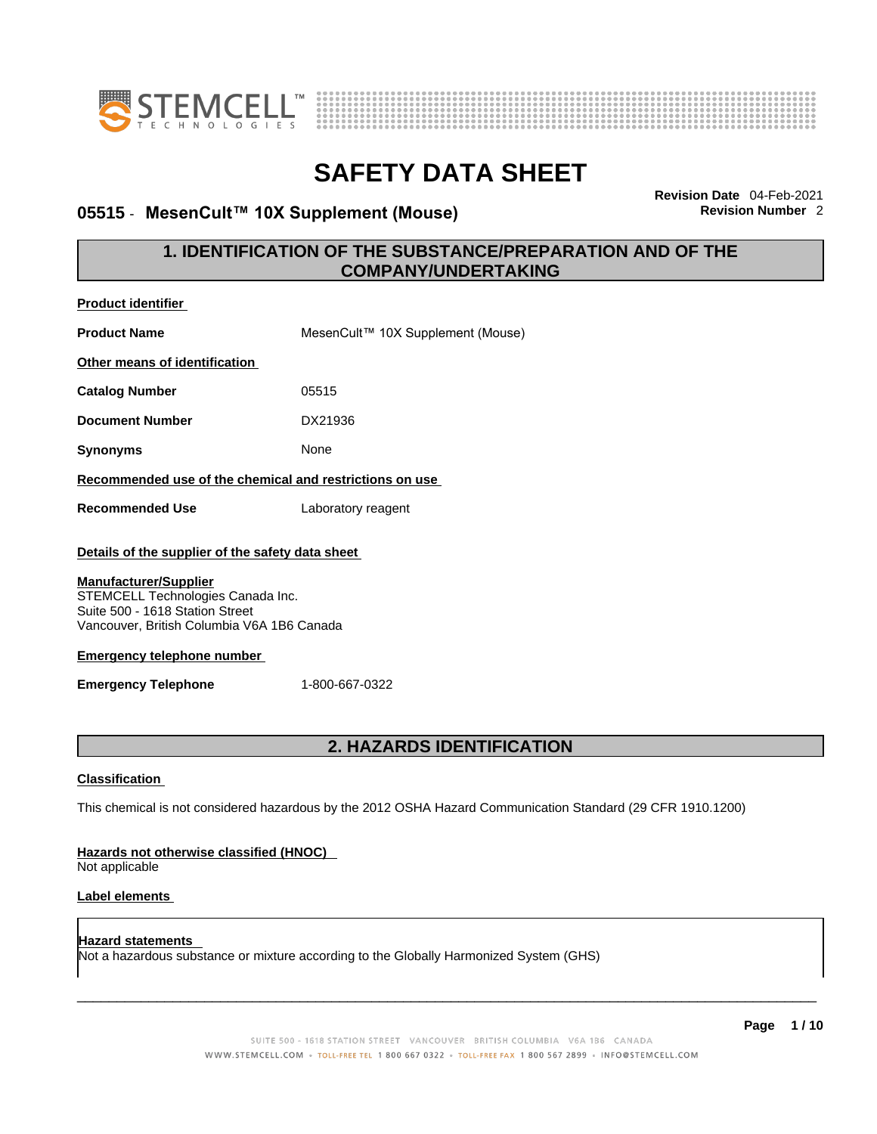



### **05515 · MesenCult™ 10X Supplement (Mouse)**

**Revision Date** 04-Feb-2021

### **1. IDENTIFICATION OF THE SUBSTANCE/PREPARATION AND OF THE COMPANY/UNDERTAKING**

| <b>Product identifier</b>                                                                                                                                                                              |                                                                                                             |
|--------------------------------------------------------------------------------------------------------------------------------------------------------------------------------------------------------|-------------------------------------------------------------------------------------------------------------|
| <b>Product Name</b>                                                                                                                                                                                    | MesenCult™ 10X Supplement (Mouse)                                                                           |
| Other means of identification                                                                                                                                                                          |                                                                                                             |
| <b>Catalog Number</b>                                                                                                                                                                                  | 05515                                                                                                       |
| <b>Document Number</b>                                                                                                                                                                                 | DX21936                                                                                                     |
| <b>Synonyms</b>                                                                                                                                                                                        | None                                                                                                        |
|                                                                                                                                                                                                        | Recommended use of the chemical and restrictions on use                                                     |
| <b>Recommended Use</b>                                                                                                                                                                                 | Laboratory reagent                                                                                          |
| Details of the supplier of the safety data sheet<br><b>Manufacturer/Supplier</b><br>STEMCELL Technologies Canada Inc.<br>Suite 500 - 1618 Station Street<br>Vancouver, British Columbia V6A 1B6 Canada |                                                                                                             |
| <b>Emergency telephone number</b>                                                                                                                                                                      |                                                                                                             |
| <b>Emergency Telephone</b>                                                                                                                                                                             | 1-800-667-0322                                                                                              |
|                                                                                                                                                                                                        | <b>2. HAZARDS IDENTIFICATION</b>                                                                            |
|                                                                                                                                                                                                        |                                                                                                             |
| <b>Classification</b>                                                                                                                                                                                  |                                                                                                             |
|                                                                                                                                                                                                        | This chemical is not considered hazardous by the 2012 OSHA Hazard Communication Standard (29 CFR 1910.1200) |
| Hazards not otherwise classified (HNOC)<br>Not applicable                                                                                                                                              |                                                                                                             |
| <b>Label elements</b>                                                                                                                                                                                  |                                                                                                             |
| <b>Hazard statements</b>                                                                                                                                                                               | Not a hazardous substance or mixture according to the Globally Harmonized System (GHS)                      |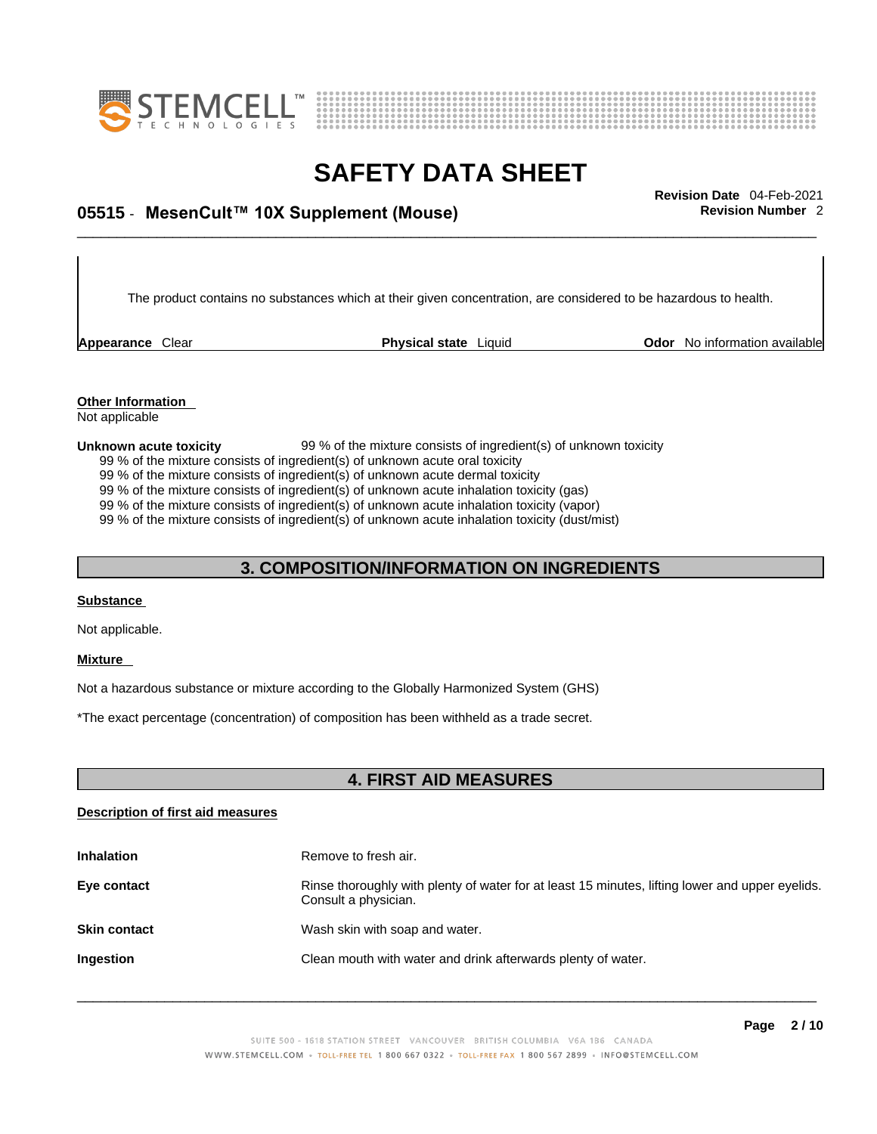



## \_\_\_\_\_\_\_\_\_\_\_\_\_\_\_\_\_\_\_\_\_\_\_\_\_\_\_\_\_\_\_\_\_\_\_\_\_\_\_\_\_\_\_\_\_\_\_\_\_\_\_\_\_\_\_\_\_\_\_\_\_\_\_\_\_\_\_\_\_\_\_\_\_\_\_\_\_\_\_\_\_\_\_\_\_\_\_\_\_\_\_\_\_ **Revision Date** 04-Feb-2021 **05515** - **MesenCult™ 10X Supplement (Mouse) Revision Number** 2

The product contains no substances which at their given concentration, are considered to be hazardous to health.

**Appearance** Clear **Physical state** Liquid

**Odor** No information available

**Other Information**  Not applicable

#### **Unknown acute toxicity** 99 % of the mixture consists of ingredient(s) of unknown toxicity

99 % of the mixture consists of ingredient(s) of unknown acute oral toxicity

99 % of the mixture consists of ingredient(s) of unknown acute dermal toxicity

99 % of the mixture consists of ingredient(s) of unknown acute inhalation toxicity (gas)

99 % of the mixture consists of ingredient(s) of unknown acute inhalation toxicity (vapor)

99 % of the mixture consists of ingredient(s) of unknown acute inhalation toxicity (dust/mist)

#### **3. COMPOSITION/INFORMATION ON INGREDIENTS**

#### **Substance**

Not applicable.

#### **Mixture**

Not a hazardous substance or mixture according to the Globally Harmonized System (GHS)

\*The exact percentage (concentration) of composition has been withheld as a trade secret.

### **4. FIRST AID MEASURES**

#### **Description of first aid measures**

| <b>Inhalation</b>   | Remove to fresh air.                                                                                                    |
|---------------------|-------------------------------------------------------------------------------------------------------------------------|
| Eye contact         | Rinse thoroughly with plenty of water for at least 15 minutes, lifting lower and upper eyelids.<br>Consult a physician. |
| <b>Skin contact</b> | Wash skin with soap and water.                                                                                          |
| <b>Ingestion</b>    | Clean mouth with water and drink afterwards plenty of water.                                                            |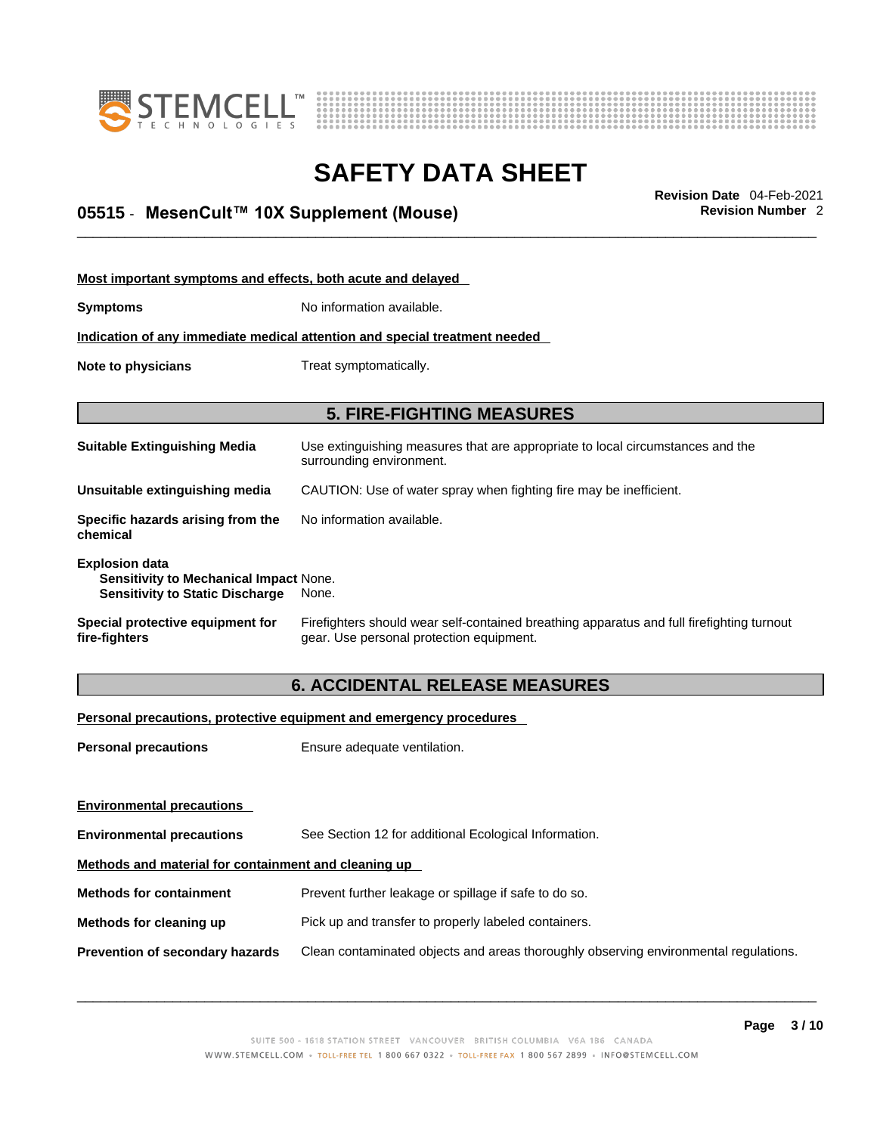



## \_\_\_\_\_\_\_\_\_\_\_\_\_\_\_\_\_\_\_\_\_\_\_\_\_\_\_\_\_\_\_\_\_\_\_\_\_\_\_\_\_\_\_\_\_\_\_\_\_\_\_\_\_\_\_\_\_\_\_\_\_\_\_\_\_\_\_\_\_\_\_\_\_\_\_\_\_\_\_\_\_\_\_\_\_\_\_\_\_\_\_\_\_ **Revision Date** 04-Feb-2021 **05515** - **MesenCult™ 10X Supplement (Mouse) Revision Number** 2

| Most important symptoms and effects, both acute and delayed                                                      |                                                                                                                                       |
|------------------------------------------------------------------------------------------------------------------|---------------------------------------------------------------------------------------------------------------------------------------|
| <b>Symptoms</b>                                                                                                  | No information available.                                                                                                             |
|                                                                                                                  | Indication of any immediate medical attention and special treatment needed                                                            |
| Note to physicians                                                                                               | Treat symptomatically.                                                                                                                |
|                                                                                                                  |                                                                                                                                       |
|                                                                                                                  | <b>5. FIRE-FIGHTING MEASURES</b>                                                                                                      |
| <b>Suitable Extinguishing Media</b>                                                                              | Use extinguishing measures that are appropriate to local circumstances and the<br>surrounding environment.                            |
| Unsuitable extinguishing media                                                                                   | CAUTION: Use of water spray when fighting fire may be inefficient.                                                                    |
| Specific hazards arising from the<br>chemical                                                                    | No information available.                                                                                                             |
| <b>Explosion data</b><br><b>Sensitivity to Mechanical Impact None.</b><br><b>Sensitivity to Static Discharge</b> | None.                                                                                                                                 |
| Special protective equipment for<br>fire-fighters                                                                | Firefighters should wear self-contained breathing apparatus and full firefighting turnout<br>gear. Use personal protection equipment. |

### **6. ACCIDENTAL RELEASE MEASURES**

#### **Personal precautions, protective equipment and emergency procedures**

| <b>Personal precautions</b>                          | Ensure adequate ventilation.                                                         |  |
|------------------------------------------------------|--------------------------------------------------------------------------------------|--|
| <b>Environmental precautions</b>                     |                                                                                      |  |
| <b>Environmental precautions</b>                     | See Section 12 for additional Ecological Information.                                |  |
| Methods and material for containment and cleaning up |                                                                                      |  |
| <b>Methods for containment</b>                       | Prevent further leakage or spillage if safe to do so.                                |  |
| Methods for cleaning up                              | Pick up and transfer to properly labeled containers.                                 |  |
| Prevention of secondary hazards                      | Clean contaminated objects and areas thoroughly observing environmental regulations. |  |
|                                                      |                                                                                      |  |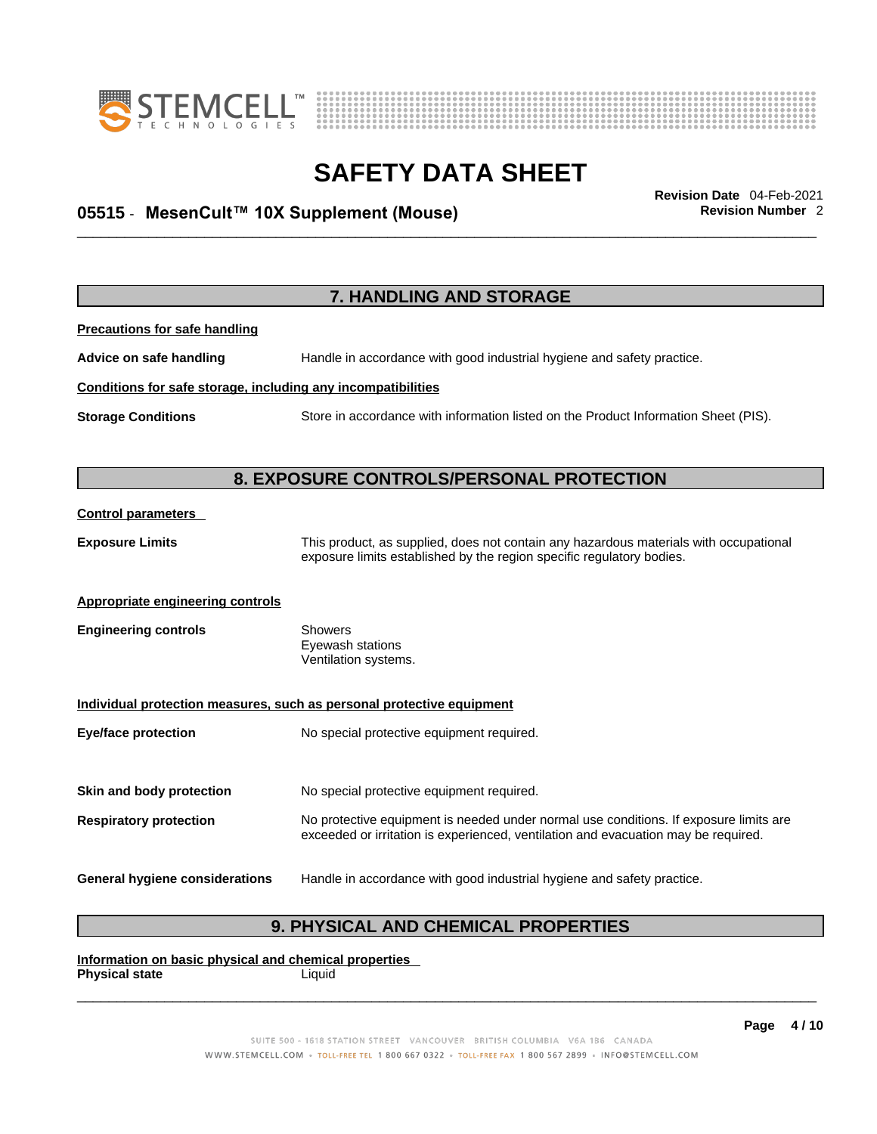



## \_\_\_\_\_\_\_\_\_\_\_\_\_\_\_\_\_\_\_\_\_\_\_\_\_\_\_\_\_\_\_\_\_\_\_\_\_\_\_\_\_\_\_\_\_\_\_\_\_\_\_\_\_\_\_\_\_\_\_\_\_\_\_\_\_\_\_\_\_\_\_\_\_\_\_\_\_\_\_\_\_\_\_\_\_\_\_\_\_\_\_\_\_ **Revision Date** 04-Feb-2021 **05515** - **MesenCult™ 10X Supplement (Mouse) Revision Number** 2

**7. HANDLING AND STORAGE Precautions for safe handling Advice on safe handling** Handle in accordance with good industrial hygiene and safety practice. **Conditions for safe storage, including any incompatibilities Storage Conditions** Store in accordance with information listed on the Product Information Sheet (PIS). **8. EXPOSURE CONTROLS/PERSONAL PROTECTION Control parameters Exposure Limits** This product, as supplied, does not contain any hazardous materials with occupational exposure limits established by the region specific regulatory bodies. **Appropriate engineering controls Engineering controls** Showers Eyewash stations Ventilation systems. **Individual protection measures, such as personal protective equipment Eye/face protection** No special protective equipment required. **Skin and body protection** No special protective equipment required. **Respiratory protection** No protective equipment is needed under normal use conditions. If exposure limits are exceeded or irritation is experienced, ventilation and evacuation may be required. **General hygiene considerations** Handle in accordance with good industrial hygiene and safety practice.

### **9. PHYSICAL AND CHEMICAL PROPERTIES**

**Information on basic physical and chemical properties Physical state** Liquid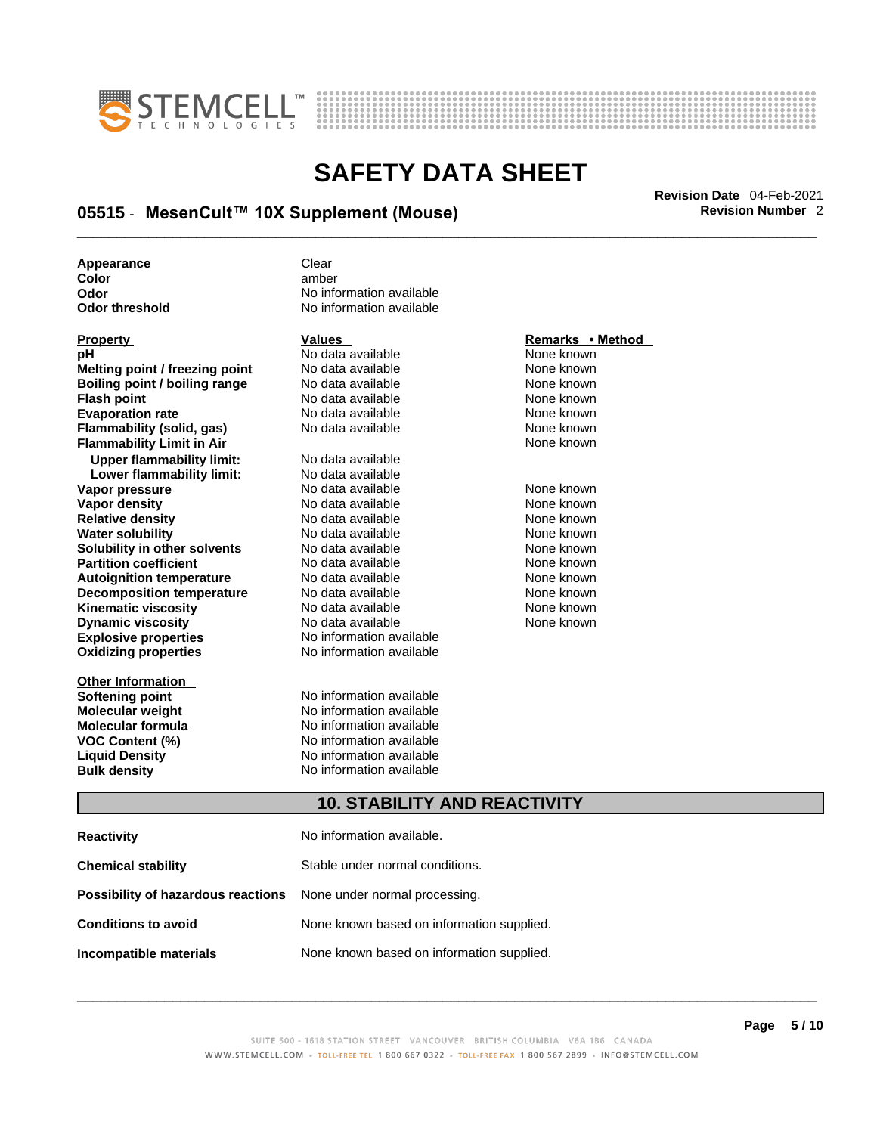



## \_\_\_\_\_\_\_\_\_\_\_\_\_\_\_\_\_\_\_\_\_\_\_\_\_\_\_\_\_\_\_\_\_\_\_\_\_\_\_\_\_\_\_\_\_\_\_\_\_\_\_\_\_\_\_\_\_\_\_\_\_\_\_\_\_\_\_\_\_\_\_\_\_\_\_\_\_\_\_\_\_\_\_\_\_\_\_\_\_\_\_\_\_ **Revision Date** 04-Feb-2021 **05515** - **MesenCult™ 10X Supplement (Mouse) Revision Number** 2

**Appearance** Clear Clear<br> **Color** amber

| <b>Property</b>                  | <b>Values</b>            | Remarks • Method |
|----------------------------------|--------------------------|------------------|
| рH                               | No data available        | None known       |
| Melting point / freezing point   | No data available        | None known       |
| Boiling point / boiling range    | No data available        | None known       |
| <b>Flash point</b>               | No data available        | None known       |
| <b>Evaporation rate</b>          | No data available        | None known       |
| Flammability (solid, gas)        | No data available        | None known       |
| <b>Flammability Limit in Air</b> |                          | None known       |
| <b>Upper flammability limit:</b> | No data available        |                  |
| Lower flammability limit:        | No data available        |                  |
| Vapor pressure                   | No data available        | None known       |
| Vapor density                    | No data available        | None known       |
| <b>Relative density</b>          | No data available        | None known       |
| <b>Water solubility</b>          | No data available        | None known       |
| Solubility in other solvents     | No data available        | None known       |
| <b>Partition coefficient</b>     | No data available        | None known       |
| <b>Autoignition temperature</b>  | No data available        | None known       |
| <b>Decomposition temperature</b> | No data available        | None known       |
| Kinematic viscosity              | No data available        | None known       |
| <b>Dynamic viscosity</b>         | No data available        | None known       |
| <b>Explosive properties</b>      | No information available |                  |
| <b>Oxidizing properties</b>      | No information available |                  |
| <b>Other Information</b>         |                          |                  |
| Softening point                  | No information available |                  |
| <b>Molecular weight</b>          | No information available |                  |
|                                  |                          |                  |

**Color** amber **Odor No information available**<br> **Odor threshold No information available No information available** 

**nation available** mation available **Molecular formula** No information available **VOC Content (%)** No information available **Liquid Density** No information available **Bulk density No information available** 

### **10. STABILITY AND REACTIVITY**

| <b>Reactivity</b>                                                       | No information available.                 |
|-------------------------------------------------------------------------|-------------------------------------------|
| <b>Chemical stability</b>                                               | Stable under normal conditions.           |
| <b>Possibility of hazardous reactions</b> None under normal processing. |                                           |
| <b>Conditions to avoid</b>                                              | None known based on information supplied. |
| Incompatible materials                                                  | None known based on information supplied. |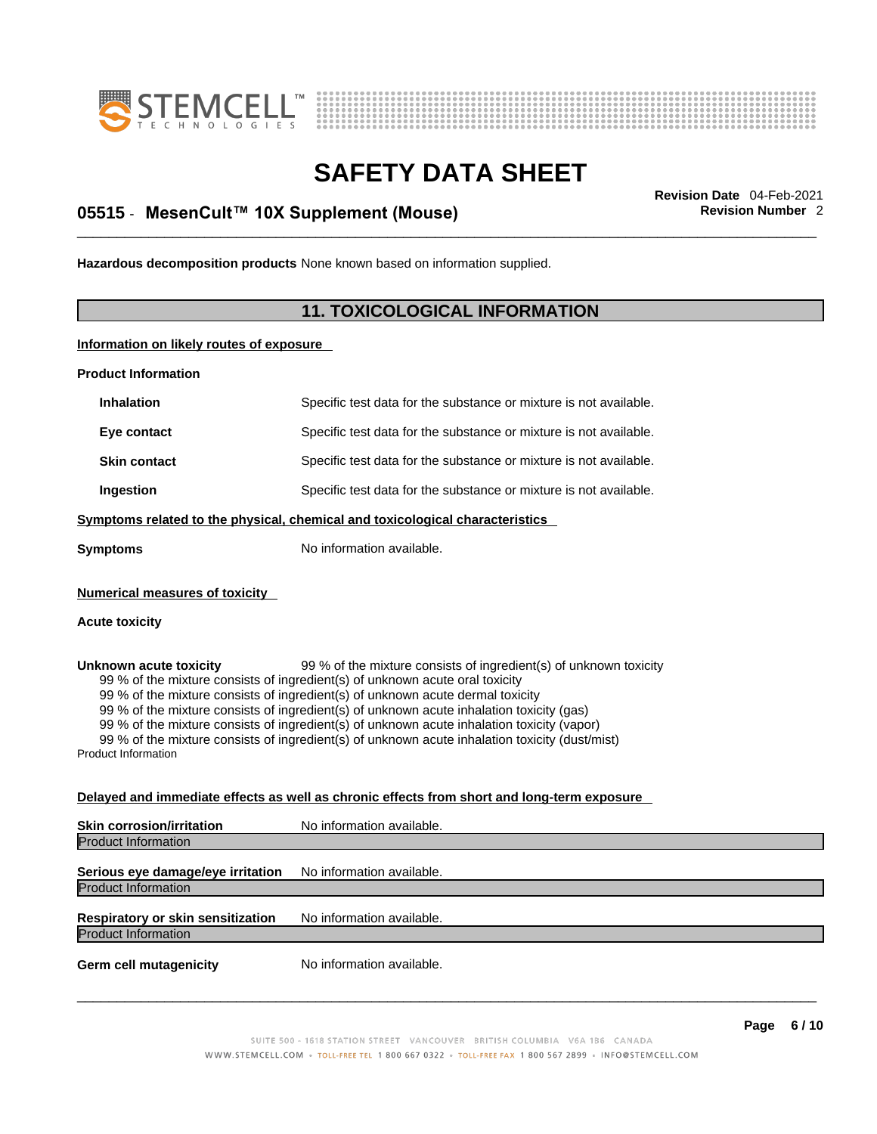



## \_\_\_\_\_\_\_\_\_\_\_\_\_\_\_\_\_\_\_\_\_\_\_\_\_\_\_\_\_\_\_\_\_\_\_\_\_\_\_\_\_\_\_\_\_\_\_\_\_\_\_\_\_\_\_\_\_\_\_\_\_\_\_\_\_\_\_\_\_\_\_\_\_\_\_\_\_\_\_\_\_\_\_\_\_\_\_\_\_\_\_\_\_ **Revision Date** 04-Feb-2021 **05515** - **MesenCult™ 10X Supplement (Mouse) Revision Number** 2

**Hazardous decomposition products** None known based on information supplied.

### **11. TOXICOLOGICAL INFORMATION**

**Information on likely routes of exposure**

**Product Information**

| <b>Inhalation</b>                                                            | Specific test data for the substance or mixture is not available. |  |
|------------------------------------------------------------------------------|-------------------------------------------------------------------|--|
| Eye contact                                                                  | Specific test data for the substance or mixture is not available. |  |
| <b>Skin contact</b>                                                          | Specific test data for the substance or mixture is not available. |  |
| Ingestion                                                                    | Specific test data for the substance or mixture is not available. |  |
| Symptoms related to the physical, chemical and toxicological characteristics |                                                                   |  |
| Symptoms                                                                     | No information available.                                         |  |
|                                                                              |                                                                   |  |

**Numerical measures of toxicity**

#### **Acute toxicity**

**Unknown acute toxicity** 99 % of the mixture consists of ingredient(s) of unknown toxicity 99 % of the mixture consists of ingredient(s) of unknown acute oral toxicity 99 % of the mixture consists of ingredient(s) of unknown acute dermal toxicity 99 % of the mixture consists of ingredient(s) of unknown acute inhalation toxicity (gas) 99 % of the mixture consists of ingredient(s) of unknown acute inhalation toxicity (vapor)

99 % of the mixture consists of ingredient(s) of unknown acute inhalation toxicity (dust/mist)

Product Information

#### **Delayed and immediate effects as well as chronic effects from short and long-term exposure**

| <b>Skin corrosion/irritation</b>                                | No information available. |
|-----------------------------------------------------------------|---------------------------|
| <b>Product Information</b>                                      |                           |
| Serious eye damage/eye irritation<br><b>Product Information</b> | No information available. |
| Respiratory or skin sensitization<br><b>Product Information</b> | No information available. |
| <b>Germ cell mutagenicity</b>                                   | No information available. |
|                                                                 |                           |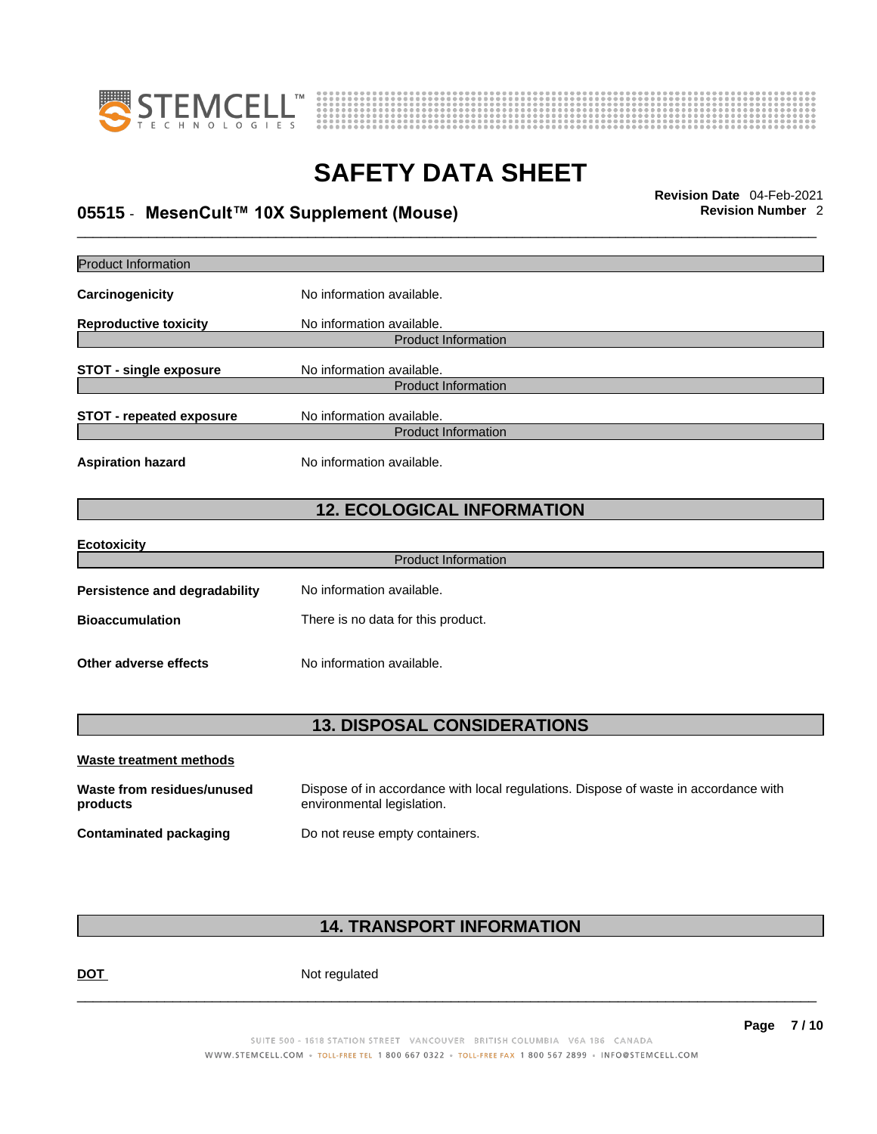



## \_\_\_\_\_\_\_\_\_\_\_\_\_\_\_\_\_\_\_\_\_\_\_\_\_\_\_\_\_\_\_\_\_\_\_\_\_\_\_\_\_\_\_\_\_\_\_\_\_\_\_\_\_\_\_\_\_\_\_\_\_\_\_\_\_\_\_\_\_\_\_\_\_\_\_\_\_\_\_\_\_\_\_\_\_\_\_\_\_\_\_\_\_ **Revision Date** 04-Feb-2021 **05515** - **MesenCult™ 10X Supplement (Mouse) Revision Number** 2

| Product Information                    |                                                                                                                    |
|----------------------------------------|--------------------------------------------------------------------------------------------------------------------|
| Carcinogenicity                        | No information available.                                                                                          |
| <b>Reproductive toxicity</b>           | No information available.                                                                                          |
|                                        | <b>Product Information</b>                                                                                         |
| <b>STOT - single exposure</b>          | No information available.                                                                                          |
|                                        | <b>Product Information</b>                                                                                         |
| <b>STOT - repeated exposure</b>        | No information available.                                                                                          |
|                                        | <b>Product Information</b>                                                                                         |
| <b>Aspiration hazard</b>               | No information available.                                                                                          |
|                                        | <b>12. ECOLOGICAL INFORMATION</b>                                                                                  |
| <b>Ecotoxicity</b>                     |                                                                                                                    |
|                                        | <b>Product Information</b>                                                                                         |
| <b>Persistence and degradability</b>   | No information available.                                                                                          |
| <b>Bioaccumulation</b>                 | There is no data for this product.                                                                                 |
| Other adverse effects                  | No information available.                                                                                          |
|                                        | <b>13. DISPOSAL CONSIDERATIONS</b>                                                                                 |
|                                        |                                                                                                                    |
| <b>Waste treatment methods</b>         |                                                                                                                    |
| Waste from residues/unused<br>products | Dispose of in accordance with local regulations. Dispose of waste in accordance with<br>environmental legislation. |
| <b>Contaminated packaging</b>          | Do not reuse empty containers.                                                                                     |
|                                        |                                                                                                                    |

### **14. TRANSPORT INFORMATION**

DOT Not regulated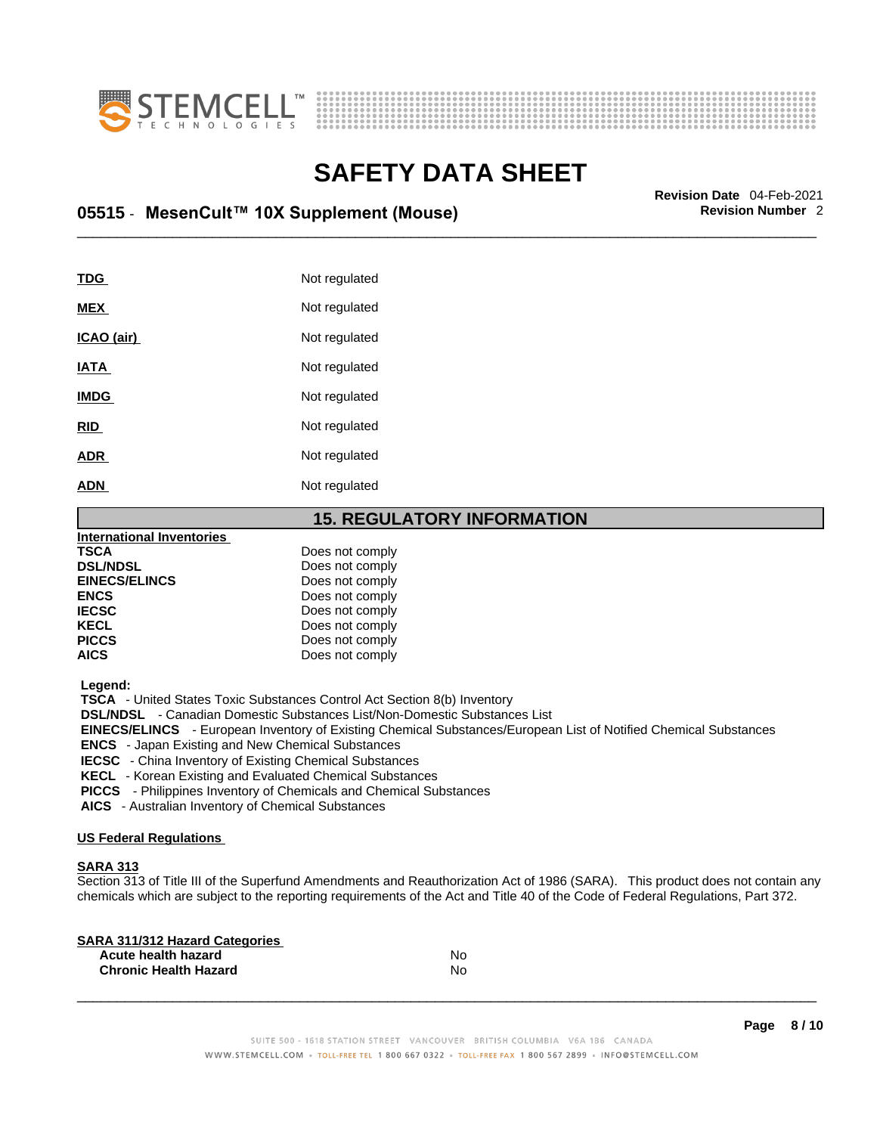



## \_\_\_\_\_\_\_\_\_\_\_\_\_\_\_\_\_\_\_\_\_\_\_\_\_\_\_\_\_\_\_\_\_\_\_\_\_\_\_\_\_\_\_\_\_\_\_\_\_\_\_\_\_\_\_\_\_\_\_\_\_\_\_\_\_\_\_\_\_\_\_\_\_\_\_\_\_\_\_\_\_\_\_\_\_\_\_\_\_\_\_\_\_ **Revision Date** 04-Feb-2021 **05515** - **MesenCult™ 10X Supplement (Mouse) Revision Number** 2

| <b>TDG</b>  | Not regulated |
|-------------|---------------|
| <b>MEX</b>  | Not regulated |
| ICAO (air)  | Not regulated |
| IATA        | Not regulated |
| <b>IMDG</b> | Not regulated |
| <b>RID</b>  | Not regulated |
| <b>ADR</b>  | Not regulated |
| <b>ADN</b>  | Not regulated |
|             |               |

#### **15. REGULATORY INFORMATION**

| <b>International Inventories</b> |                 |  |
|----------------------------------|-----------------|--|
| <b>TSCA</b>                      | Does not comply |  |
| <b>DSL/NDSL</b>                  | Does not comply |  |
| <b>EINECS/ELINCS</b>             | Does not comply |  |
| <b>ENCS</b>                      | Does not comply |  |
| <b>IECSC</b>                     | Does not comply |  |
| <b>KECL</b>                      | Does not comply |  |
| <b>PICCS</b>                     | Does not comply |  |
| <b>AICS</b>                      | Does not comply |  |
|                                  |                 |  |

 **Legend:** 

 **TSCA** - United States Toxic Substances Control Act Section 8(b) Inventory

 **DSL/NDSL** - Canadian Domestic Substances List/Non-Domestic Substances List

 **EINECS/ELINCS** - European Inventory of Existing Chemical Substances/European List of Notified Chemical Substances

 **ENCS** - Japan Existing and New Chemical Substances

 **IECSC** - China Inventory of Existing Chemical Substances

 **KECL** - Korean Existing and Evaluated Chemical Substances

 **PICCS** - Philippines Inventory of Chemicals and Chemical Substances

 **AICS** - Australian Inventory of Chemical Substances

#### **US Federal Regulations**

#### **SARA 313**

Section 313 of Title III of the Superfund Amendments and Reauthorization Act of 1986 (SARA). This product does not contain any chemicals which are subject to the reporting requirements of the Act and Title 40 of the Code of Federal Regulations, Part 372.

| No |  |
|----|--|
| No |  |
|    |  |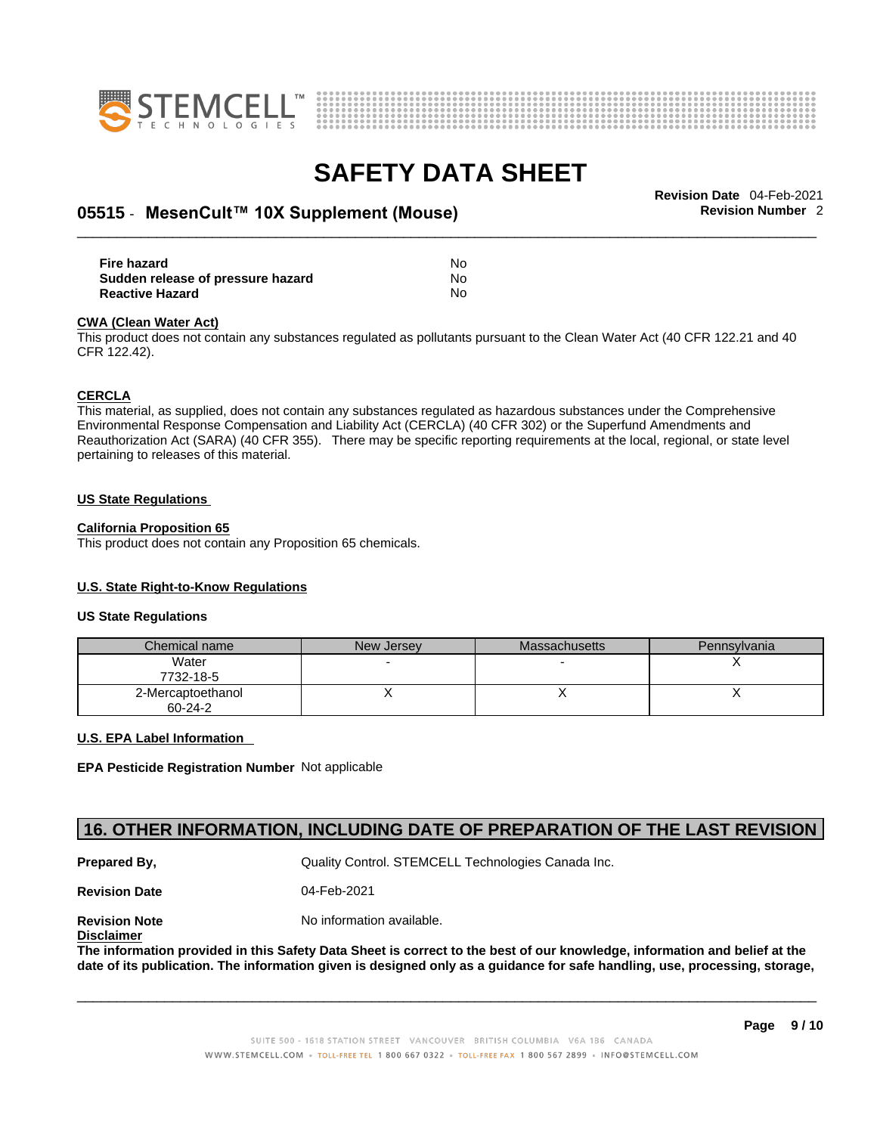



## \_\_\_\_\_\_\_\_\_\_\_\_\_\_\_\_\_\_\_\_\_\_\_\_\_\_\_\_\_\_\_\_\_\_\_\_\_\_\_\_\_\_\_\_\_\_\_\_\_\_\_\_\_\_\_\_\_\_\_\_\_\_\_\_\_\_\_\_\_\_\_\_\_\_\_\_\_\_\_\_\_\_\_\_\_\_\_\_\_\_\_\_\_ **Revision Date** 04-Feb-2021 **05515** - **MesenCult™ 10X Supplement (Mouse) Revision Number** 2

| Fire hazard                       | No  |
|-----------------------------------|-----|
| Sudden release of pressure hazard | No  |
| <b>Reactive Hazard</b>            | No. |

#### **CWA** (Clean Water Act)

This product does not contain any substances regulated as pollutants pursuant to the Clean Water Act (40 CFR 122.21 and 40 CFR 122.42).

#### **CERCLA**

This material, as supplied, does not contain any substances regulated as hazardous substances under the Comprehensive Environmental Response Compensation and Liability Act (CERCLA) (40 CFR 302) or the Superfund Amendments and Reauthorization Act (SARA) (40 CFR 355). There may be specific reporting requirements at the local, regional, or state level pertaining to releases of this material.

#### **US State Regulations**

#### **California Proposition 65**

This product does not contain any Proposition 65 chemicals.

#### **U.S. State Right-to-Know Regulations**

#### **US State Regulations**

| Chemical name                      | New Jersey | <b>Massachusetts</b> | Pennsylvania |
|------------------------------------|------------|----------------------|--------------|
| Water<br>7732-18-5                 | -          |                      |              |
| 2-Mercaptoethanol<br>$60 - 24 - 2$ |            |                      |              |

#### **U.S. EPA Label Information**

**EPA Pesticide Registration Number** Not applicable

### **16. OTHER INFORMATION, INCLUDING DATE OF PREPARATION OF THE LAST REVISION**

**Prepared By, State Control. STEMCELL Technologies Canada Inc.** Canada Inc.

**Revision Date** 04-Feb-2021

**Disclaimer**

**Revision Note** Noinformation available.

The information provided in this Safety Data Sheet is correct to the best of our knowledge, information and belief at the date of its publication. The information given is designed only as a guidance for safe handling, use, processing, storage,